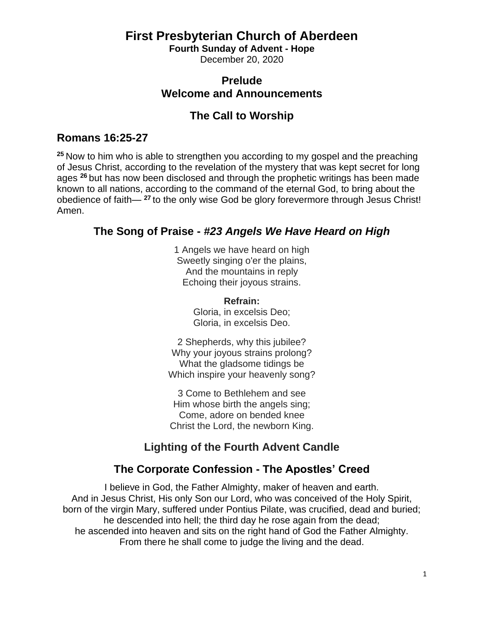#### **First Presbyterian Church of Aberdeen**

**Fourth Sunday of Advent - Hope** December 20, 2020

# **Prelude**

## **Welcome and Announcements**

#### **The Call to Worship**

#### **Romans 16:25-27**

**<sup>25</sup>** Now to him who is able to strengthen you according to my gospel and the preaching of Jesus Christ, according to the revelation of the mystery that was kept secret for long ages **<sup>26</sup>** but has now been disclosed and through the prophetic writings has been made known to all nations, according to the command of the eternal God, to bring about the obedience of faith— **<sup>27</sup>** to the only wise God be glory forevermore through Jesus Christ! Amen.

#### **The Song of Praise -** *#23 Angels We Have Heard on High*

1 Angels we have heard on high Sweetly singing o'er the plains, And the mountains in reply Echoing their joyous strains.

> **Refrain:** Gloria, in excelsis Deo; Gloria, in excelsis Deo.

2 Shepherds, why this jubilee? Why your joyous strains prolong? What the gladsome tidings be Which inspire your heavenly song?

3 Come to Bethlehem and see Him whose birth the angels sing; Come, adore on bended knee Christ the Lord, the newborn King.

### **Lighting of the Fourth Advent Candle**

### **The Corporate Confession - The Apostles' Creed**

I believe in God, the Father Almighty, maker of heaven and earth. And in Jesus Christ, His only Son our Lord, who was conceived of the Holy Spirit, born of the virgin Mary, suffered under Pontius Pilate, was crucified, dead and buried; he descended into hell; the third day he rose again from the dead; he ascended into heaven and sits on the right hand of God the Father Almighty. From there he shall come to judge the living and the dead.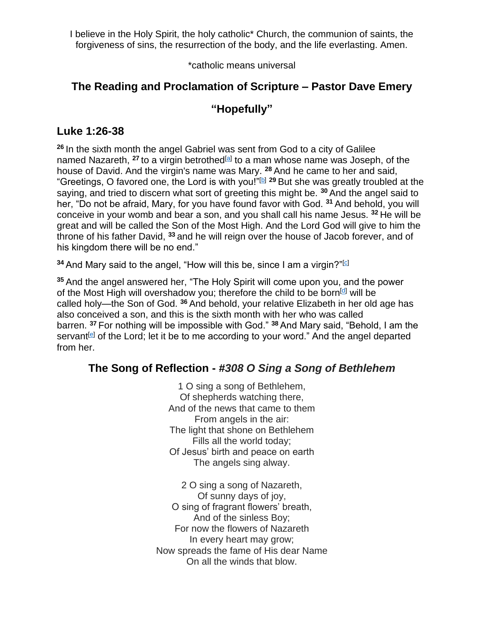I believe in the Holy Spirit, the holy catholic\* Church, the communion of saints, the forgiveness of sins, the resurrection of the body, and the life everlasting. Amen.

\*catholic means universal

#### **The Reading and Proclamation of Scripture – Pastor Dave Emery**

#### **"Hopefully"**

#### **Luke 1:26-38**

**<sup>26</sup>** In the sixth month the angel Gabriel was sent from God to a city of Galilee named Nazareth, <sup>27</sup> to a virgin betrothed<sup>[\[a\]](https://www.biblegateway.com/passage/?search=luke+1%3A26-38&version=ESV#fen-ESV-24912a)</sup> to a man whose name was Joseph, of the house of David. And the virgin's name was Mary. **<sup>28</sup>** And he came to her and said, "Greetings, O favored one, the Lord is with you!"<sup>[\[b\]](https://www.biblegateway.com/passage/?search=luke+1%3A26-38&version=ESV#fen-ESV-24913b) 29</sup> But she was greatly troubled at the saying, and tried to discern what sort of greeting this might be. **<sup>30</sup>** And the angel said to her, "Do not be afraid, Mary, for you have found favor with God. **<sup>31</sup>** And behold, you will conceive in your womb and bear a son, and you shall call his name Jesus. **<sup>32</sup>** He will be great and will be called the Son of the Most High. And the Lord God will give to him the throne of his father David, **<sup>33</sup>** and he will reign over the house of Jacob forever, and of his kingdom there will be no end."

**34** And Mary said to the angel, "How will this be, since I am a virgin?"<sup>[\[c\]](https://www.biblegateway.com/passage/?search=luke+1%3A26-38&version=ESV#fen-ESV-24919c)</sup>

**<sup>35</sup>** And the angel answered her, "The Holy Spirit will come upon you, and the power of the Most High will overshadow you; therefore the child to be born<sup>[\[d\]](https://www.biblegateway.com/passage/?search=luke+1%3A26-38&version=ESV#fen-ESV-24920d)</sup> will be called holy—the Son of God. **<sup>36</sup>** And behold, your relative Elizabeth in her old age has also conceived a son, and this is the sixth month with her who was called barren. **<sup>37</sup>** For nothing will be impossible with God." **<sup>38</sup>** And Mary said, "Behold, I am the servant<sup>[\[e\]](https://www.biblegateway.com/passage/?search=luke+1%3A26-38&version=ESV#fen-ESV-24923e)</sup> of the Lord; let it be to me according to your word." And the angel departed from her.

#### **The Song of Reflection -** *#308 O Sing a Song of Bethlehem*

1 O sing a song of Bethlehem, Of shepherds watching there, And of the news that came to them From angels in the air: The light that shone on Bethlehem Fills all the world today; Of Jesus' birth and peace on earth The angels sing alway.

2 O sing a song of Nazareth, Of sunny days of joy, O sing of fragrant flowers' breath, And of the sinless Boy; For now the flowers of Nazareth In every heart may grow; Now spreads the fame of His dear Name On all the winds that blow.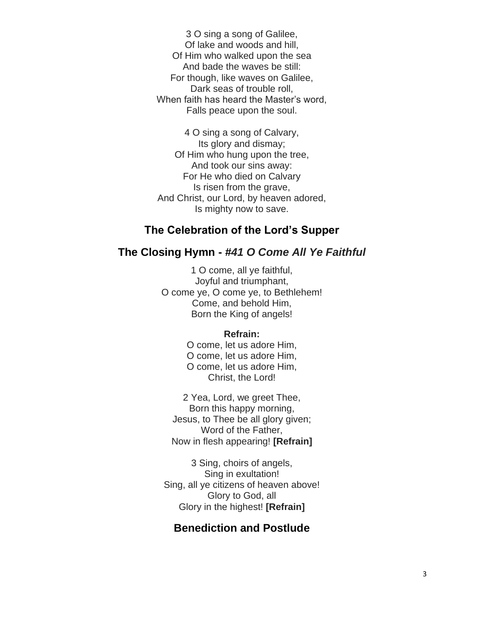3 O sing a song of Galilee, Of lake and woods and hill, Of Him who walked upon the sea And bade the waves be still: For though, like waves on Galilee, Dark seas of trouble roll, When faith has heard the Master's word, Falls peace upon the soul.

4 O sing a song of Calvary, Its glory and dismay; Of Him who hung upon the tree, And took our sins away: For He who died on Calvary Is risen from the grave, And Christ, our Lord, by heaven adored, Is mighty now to save.

#### **The Celebration of the Lord's Supper**

#### **The Closing Hymn -** *#41 O Come All Ye Faithful*

1 O come, all ye faithful, Joyful and triumphant, O come ye, O come ye, to Bethlehem! Come, and behold Him, Born the King of angels!

#### **Refrain:**

O come, let us adore Him, O come, let us adore Him, O come, let us adore Him, Christ, the Lord!

2 Yea, Lord, we greet Thee, Born this happy morning, Jesus, to Thee be all glory given; Word of the Father, Now in flesh appearing! **[Refrain]**

3 Sing, choirs of angels, Sing in exultation! Sing, all ye citizens of heaven above! Glory to God, all Glory in the highest! **[Refrain]**

#### **Benediction and Postlude**